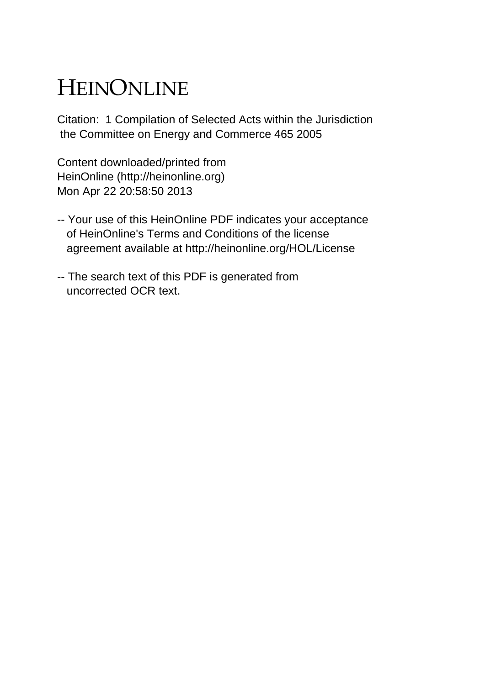# HEINONLINE

Citation: 1 Compilation of Selected Acts within the Jurisdiction the Committee on Energy and Commerce 465 2005

Content downloaded/printed from HeinOnline (http://heinonline.org) Mon Apr 22 20:58:50 2013

- -- Your use of this HeinOnline PDF indicates your acceptance of HeinOnline's Terms and Conditions of the license agreement available at http://heinonline.org/HOL/License
- -- The search text of this PDF is generated from uncorrected OCR text.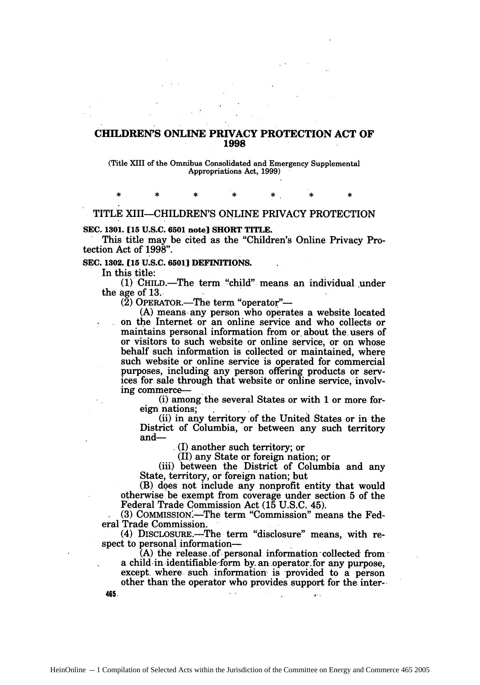# **CHILDREN'S ONLINE PRIVACY PROTECTION ACT OF 1998**

(Title XIII of the Omnibus Consolidated and Emergency Supplemental Appropriations Act, **1999)**

# TITLE XIII-CHILDREN'S ONLINE PRIVACY PROTECTION

**SEC. 1301. [15 U.S.C. 6501 note] SHORT TITLE.** This title may be cited as the "Children's Online Privacy Protection Act of **1998".**

### **SEC. 1302. [15 U.S.C. 6501]** DEFINITIONS.

In this title:

(1) CHILD.—The term "child" means an individual under the age of 13.<br>(2) OPERATOR.—The term "operator"—

(A) means any person who operates a website located on the Internet or an online service and who collects or maintains personal information from or. about the. users of or visitors to such website or online service, or on whose behalf such information is collected or maintained, where such website or online service is operated for commercial purposes, including any person offering products or services for sale through that website or online service, involving commerce-

(i) among the several States or with 1 or more foreign nations;

(ii) in any territory of the United States or in the District of Columbia, or between any such territory  $and-$ 

(I) another such territory; or

(II) any State or foreign nation; or

(iii) between the District of Columbia and any State, territory, or foreign nation; but

(B) does not include any nonprofit entity that would otherwise be exempt from coverage under section 5 of the Federal Trade Commission Act (15 U.S.C. 45).

(3) COMMISSION:—The term "Commission" means the Federal Trade Commission.

(4) DISCLOSURE.-The term "disclosure" means, with respect to personal information-

**(A)** the release -of personal information -collected from a child-in -identifiable-form by. an:.operator.for any purpose, except- where such information: is provided to a person other than the operator who provides support for the inter-.

 $\mathbf{r}$  .

465.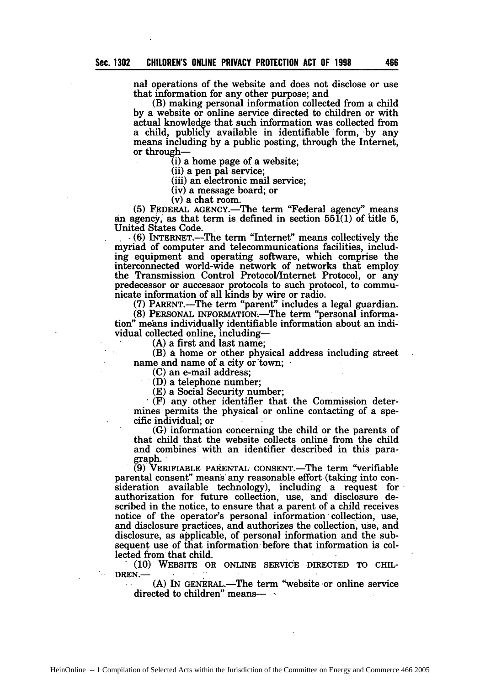nal operations of the website and does not disclose or use that information for any other purpose; and

(B) making personal information collected from a child by a website or online service directed to children or with actual knowledge that such information was collected from a child, publicly available in identifiable form, 'by any means including by a public posting, through the Internet, or through-

(i) a home page of a website;

(ii) a pen pal service;

(iii) an electronic mail service;

(iv) a message board; or

(v) a chat room.

**(5)** FEDERAL AGENCY.-The term "Federal agency" means an agency, as that term is defined in section **551(1)** of title **5,** United States Code.

**-(6)** INTERNET.-The term "Internet" means collectively the myriad of computer and telecommunications facilities, including equipment and operating software, which comprise the interconnected world-wide network of networks that employ the Transmission Control Protocol/Internet Protocol, or any predecessor or successor protocols to such protocol, to communicate information of all kinds **by** wire or radio.

**(7)** PARENT.-The term "parent" includes a legal guardian. **(8) PERSONAL** INFORMATION-The term "personal information" means individually identifiable information about an individual collected online, including-

**(A)** a first and last name;

(B) a home or other physical address including street name and name of a city or town;

(C) an e-mail address;

(D) a telephone number;

(E) a Social Security number;

(F) any other identifier that the Commission determines permits the physical or online contacting of a specific individual; or

(G) information concerning the child or the parents of that child that the website collects online from the child and combines' with an identifier described in this paragraph.

(9) VERIFIABLE PARENTAL CONSENT.-The term "verifiable parental consent" means any reasonable effort (taking into consideration available technology), including a request for authorization for future collection, use, and disclosure described in the notice, to ensure that a parent of a child receives notice of the operator's personal information collection, use, and disclosure practices, and authorizes the collection, use, and disclosure, as applicable, of personal information and the subsequent use of that information before that information is collected from that child.

**(10)** WEBSITE OR ONLINE SERVICE DIRECTED TO CHIL-DREN.-

(A) IN GENERAL.-The term "website or online service directed to children" means-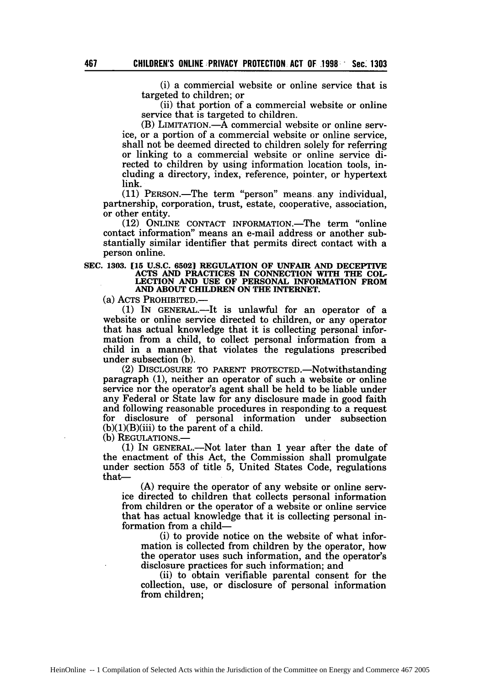(i) a commercial website or online service that is targeted to children; or

(ii) that portion of a commercial website or online service that is targeted to children.

 $(B)$  LIMITATION.— $\overline{A}$  commercial website or online service, or a portion of a commercial website or online service, shall not be deemed directed to children solely for referring or linking to a commercial website or online service directed to children **by** using information location tools, including a directory, index, reference, pointer, or hypertext link.

(11) PERSON.-The term "person" means. any individual, partnership, corporation, trust, estate, cooperative, association,

 $(12)$  ONLINE CONTACT INFORMATION.—The term "online contact information" means an e-mail address or another substantially similar identifier that permits direct contact with a person online.

#### **SEC. 1303. [15 U.S.C. 6502] REGULATION OF UNFAIR AND DECEPTIVE ACTS AND PRACTICES IN CONNECTION WITH THE COL-LECTION AND USE OF PERSONAL INFORMATION FROM AND ABOUT CHILDREN ON THE INTERNET.**

(a) **ACTS** PROHIBITED.-

**(1)** IN GENERAL.-It is unlawful for an operator of a website or online service directed to children, or any operator that has actual knowledge that it is collecting personal information from a child, to collect personal information from a child in a manner that violates the regulations prescribed under subsection (b).

(2) DISCLOSURE TO PARENT PROTECTED.—Notwithstanding paragraph (1), neither an operator of such a website or online service nor the operator's agent shall be held to be liable under any Federal or State law for any disclosure made in good faith and following reasonable procedures in responding to a request for disclosure of personal information under subsection  $(b)(1)(B)(iii)$  to the parent of a child.

(b) **REGULATIONS.-**

(1) IN GENERAL.-Not later than 1 year after the date of the enactment of this Act, the Commission shall promulgate under section 553 of title 5, United States Code, regulations that-

(A) require the operator of any website or online service directed to children that collects personal information from children or the operator of a website or online service that has actual knowledge that it is collecting personal information from a child-

(i) to provide notice on the website of what information is collected from children by the operator, how the operator uses such information, and the operator's disclosure practices for such information; and

(ii) to obtain verifiable parental consent for the collection, use, or disclosure of personal information from children;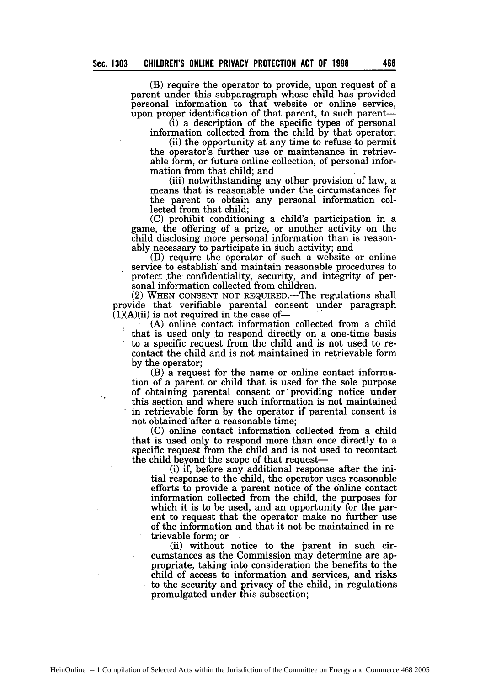(B) require the operator to provide, upon request of a parent under this subparagraph whose child has provided personal information to that website or online service, upon proper identification of that parent, to such parent-

(i) a description of the specific types of personal information collected from the child by that operator;

(ii) the opportunity at any time to refuse to permit the operator's further use or maintenance in retrievable form, or future online collection, of personal information from that child; and

(iii) notwithstanding any other provision of law, a means that is reasonable under the circumstances for the parent to obtain any personal information collected from that child;

(C) prohibit conditioning a child's participation in a game, the offering of a prize, or another activity on the child disclosing more personal information than is reasonably necessary to participate in such activity; and

(D) require the operator of such a website or online service to establish and maintain reasonable procedures to protect the confidentiality, security, and integrity of personal information collected from children.

(2) WHEN CONSENT NOT REQUIRED.—The regulations shall provide that verifiable parental consent under paragraph  $(1)(A)(ii)$  is not required in the case of-

(A) online contact information collected from a child that is used only to respond directly on a one-time basis to a specific request from the child and is not used to recontact the child and is not maintained in retrievable form

 $(B)$  a request for the name or online contact information of a parent or child that is used for the sole purpose of obtaining parental consent or providing notice under this section and where such information is not maintained in retrievable form by the operator if parental consent is not obtained after a reasonable time;

(C) online contact information collected from a child that is used only to respond more than once directly to a specific request from the child and is not used to recontact the child beyond the scope of that request-

(i) if, before any additional response after the initial response to the child, the operator uses reasonable efforts to provide a parent notice of the online contact information collected from the child, the purposes for which it is to be used, and an opportunity for the parent to request that the operator make no further use of the information and that it not be maintained in retrievable form; or

(ii) without notice to the parent in such circumstances as the Commission may determine are appropriate, taking into consideration the benefits to the child of access to information and services, and risks to the security and privacy of the child, in regulations promulgated under this subsection;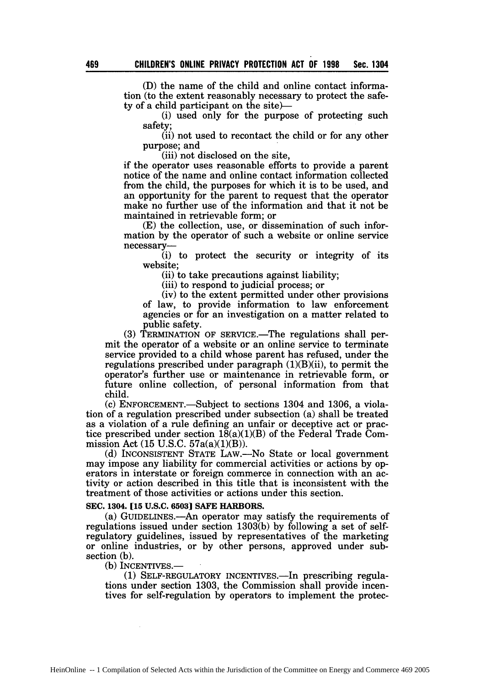**(D)** the name of the child and online contact information (to the extent reasonably necessary to protect the safety of a child participant on the site $\rho$ -

(i) used only for the purpose of protecting such safety;

(ii) not used to recontact the child or for any other purpose; and

(iii) not disclosed on the site,

if the operator uses reasonable efforts to provide a parent notice of the name and online contact information collected from the child, the purposes for which it is to be used, and an opportunity for the parent to request that the operator make no further use of the information and that it not be maintained in retrievable form; or

(E) the collection, use, or dissemination of such information by the operator of such a website or online service necessary-

(i) to protect the security or integrity of its website;

(ii) to take precautions against liability;

(iii) to respond to judicial process; or

(iv) to the extent permitted under other provisions of law, to provide information to law enforcement agencies or for an investigation on a matter related to public safety.

(3) TERMINATION OF SERVICE.—The regulations shall permit the operator of a website or an online service to terminate service provided to a child whose parent has refused, under the regulations prescribed under paragraph  $(1)(B)(ii)$ , to permit the operator's further use or maintenance in retrievable form, or future online collection, of personal information from that child.

(c) ENFORCEMENT.-Subject to sections 1304 and 1306, a violation of a regulation prescribed under subsection (a) shall be treated as a violation of a rule defining an unfair or deceptive act or practice prescribed under section 18(a)(1)(B) of the Federal Trade Commission Act (15 U.S.C. 57a(a)(1)(B)).

(d) INCONSISTENT STATE LAw.-No State or local government may impose any liability for commercial activities or actions by operators in interstate or foreign commerce in connection with an activity or action described in this title that is inconsistent with the treatment of those activities or actions under this section.

# **SEC.** 1304. **[15 U.S.C. 65031 SAFE** HARBORS.

(a) GUIDELINES.-An operator may satisfy the requirements of regulations issued under section **1303(b) by** following a set of selfregulatory guidelines, issued **by** representatives of the marketing or online industries, or **by** other persons, approved under subsection **(b).**

(b) INCENTIVES.—

(1) SELF-REGULATORY INCENTIVES.—In prescribing regulations under section 1303, the Commission shall provide incentives for self-regulation by operators to implement the protec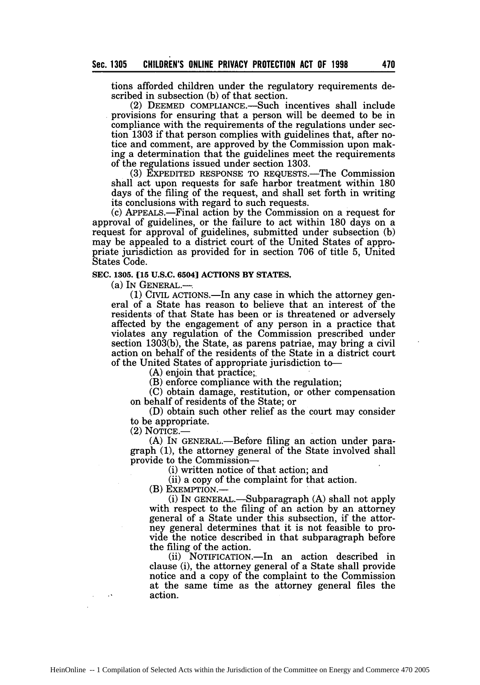tions afforded children under the regulatory requirements described in subsection (b) of that section.

(2) DEEMED COMPLIANCE.-Such incentives shall include provisions for ensuring that a person will be deemed to be in compliance with the requirements of the regulations under section 1303 if that person complies with guidelines that, after notice and comment, are approved by the Commission upon making a determination that the guidelines meet the requirements of the regulations issued under section 1303.

(3) EXPEDITED RESPONSE TO REQUESTS.—The Commission shall act upon requests for safe harbor treatment within 180 days of the filing of the request, and shall set forth in writing its conclusions with regard to such requests.<br>(c) APPEALS.—Final action by the Commission on a request for

approval of guidelines, or the failure to act within 180 days on a request for approval of guidelines, submitted under subsection (b) may be appealed to a district court of the United States of appropriate jurisdiction as provided for in section 706 of title 5, United States Code.

## **SEC. 1305. (15 U.S.C. 6504] ACTIONS BY STATES.**

(a) IN GENERAL.-

(1) CIVIL ACTIONS.-In any case in which the attorney general of a State has reason to believe that an interest of the residents of that State has been or is threatened or adversely affected by the engagement of any person in a practice that violates any regulation of the Commission prescribed under section 1303(b), the State, as parens patriae, may bring a civil action on behalf of the residents of the State in a district court of the United States of appropriate jurisdiction to-

(A) enjoin that practice;, (B) enforce compliance with the regulation;

(C) obtain damage, restitution, or other compensation on behalf of residents of the State; or

(D) obtain such other relief as the court may consider to be appropriate.

 $(2)$  NOTICE. $-$ 

**(A)** IN GENERAL.-Before filing an action under paragraph (1), the attorney general of the State involved shall provide to the Commission-

(i) written notice of that action; and

(ii) a copy of the complaint for that action.

(B) EXEMPTION.-

(i) IN GENERAL-Subparagraph (A) shall not apply with respect to the filing of an action by an attorney general of a State under this subsection, if the attorney general determines that it is not feasible to provide the notice described in that subparagraph before the filing of the action.

(ii) NOTIFICATION.-In an action described in clause (i), the attorney general of a State shall provide notice and a copy of the complaint to the Commission at the same time as the attorney general files the action.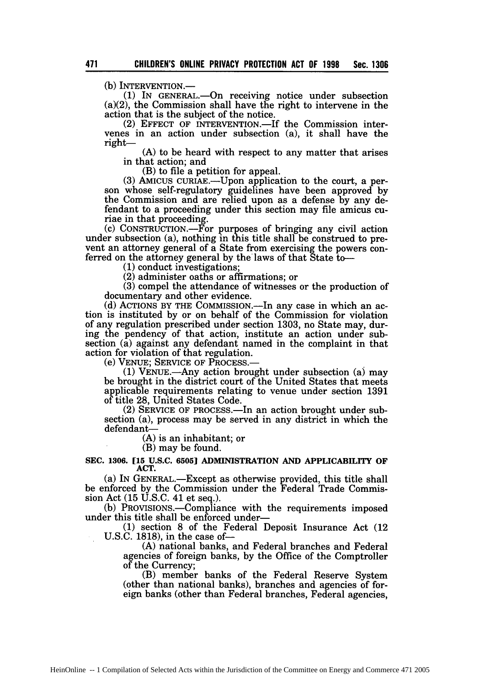(b) INTERVENTION.—

(1) IN GENERAL.-On receiving notice under subsection (a)(2), the Commission shall have the right to intervene in the action that is the subject of the notice.

(2) EFFECT OF INTERVENTION.-If the Commission intervenes in an action under subsection (a), it shall have the right-

(A) to be heard with respect to any matter that arises in that action; and

(B) to file a petition for appeal.

(3) AMicus CuRIAE.-Upon application to the court, a person whose self-regulatory guidelines have been approved by the Commission and are relied upon as a defense by any defendant to a proceeding under this section may file amicus curiae in that proceeding.

(c) CONSTRUCTION.-For purposes of bringing any civil action under subsection (a), nothing in this title shall be construed to prevent an attorney general of a State from exercising the powers conferred on the attorney general by the laws of that State to-

**(1)** conduct investigations;

(2) administer oaths or affirmations; or

(3) compel the attendance of witnesses or the production of documentary and other evidence.

(d) ACTIONS BY THE COMMISSION.-In any case in which an action is instituted by or on behalf of the Commission for violation of any regulation prescribed under section 1303, no State may, during the pendency of that action, institute an action under subsection (a) against any defendant named in the complaint in that action for violation of that regulation.

(e) VENUE; SERVICE OF PROCESS.-

 $(1)$  VENUE.—Any action brought under subsection  $(a)$  may be brought in the district court of the United States that meets applicable requirements relating to venue under section 1391 of title 28, United States Code.

(2) SERVICE OF PROCESS.—In an action brought under subsection (a), process may be served in any district in which the defendant-

(A) is an inhabitant; or

(B) may be found.

**SEC. 1306. [15 U.S.C. 6505]** ADMINISTRATION **AND APPLICABILITY** OF **ACT.**

(a) IN GENERAL.-Except as otherwise provided, this title shall be enforced **by** the Commission under the Federal Trade Commission Act **(15 U.S.C.** 41 et seq.).

**(b)** PROVISIONS.-Compliance with the requirements imposed under this title shall be enforced under-

**(1)** section **8** of the Federal Deposit Insurance Act (12 **U.S.C. 1818),** in the case of-

**(A)** national banks, and Federal branches and Federal agencies of foreign banks, **by** the Office of the Comptroller of the Currency;

(B) member banks of the Federal Reserve System (other than national banks), branches and agencies of foreign banks (other than Federal branches, Federal agencies,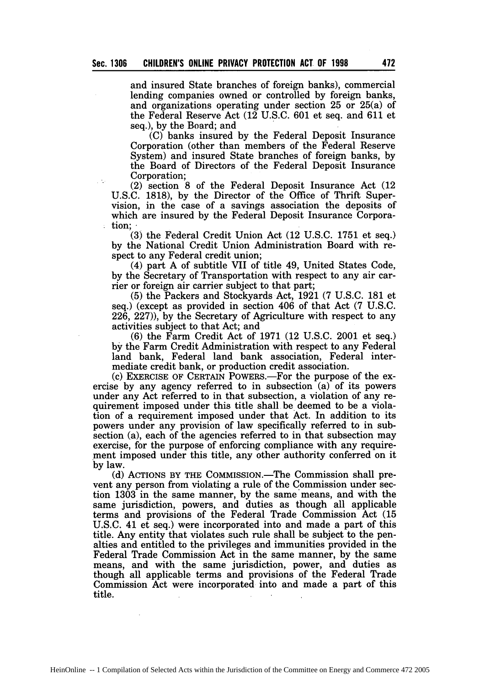and insured State branches of foreign banks), commercial lending companies owned or controlled by foreign banks, and organizations operating under section 25 or 25(a) of the Federal Reserve Act (12 U.S.C. 601 et seq. and 611 et seq.), by the Board; and

(C) banks insured by the Federal Deposit Insurance Corporation (other than members of the Federal Reserve System) and insured State branches of foreign banks, by the Board of Directors of the Federal Deposit Insurance Corporation;

(2) section 8 of the Federal Deposit Insurance Act (12 U.S.C. 1818), by the Director of the Office of Thrift Supervision, in the case of a savings association the deposits of which are insured by the Federal Deposit Insurance Corporation; **-**

(3) the Federal Credit Union Act (12 U.S.C. 1751 et seq.) by the National Credit Union Administration Board with respect to any Federal credit union;

(4) part A of subtitle VII of title 49, United States Code, by the Secretary of Transportation with respect to any air carrier or foreign air carrier subject to that part;

(5) the Packers and Stockyards Act, 1921 (7 U.S.C. 181 et seq.) (except as provided in section 406 of that Act (7 U.S.C. 226, 227)), by the Secretary of Agriculture with respect to any activities subject to that Act; and

(6) the Farm Credit Act of 1971 (12 U.S.C. 2001 et seq.) by the Farm Credit Administration with respect to any Federal land bank, Federal land bank association, Federal intermediate credit bank, or production credit association.

**(c)** EXERCISE OF CERTAIN POWERS.-For the purpose of the exercise by any agency referred to in subsection (a) of its powers under any Act referred to in that subsection, a violation of any requirement imposed under this title shall be deemed to be a violation of a requirement imposed under that Act. In addition to its powers under any provision of law specifically referred to in subsection (a), each of the agencies referred to in that subsection may exercise, for the purpose of enforcing compliance with any requirement imposed under this title, any other authority conferred on it by law.

(d) ACTIONS BY THE COMMISSION.—The Commission shall prevent any person from violating a rule of the Commission under section 1303 in the same manner, by the same means, and with the same jurisdiction, powers, and duties as though all applicable terms and provisions of the Federal Trade Commission Act (15 U.S.C. 41 et seq.) were incorporated into and made a part of this title. Any entity that violates such rule shall be subject to the penalties and entitled to the privileges and immunities provided in the Federal Trade Commission Act in the same manner, by the same means, and with the same jurisdiction, power, and duties as though all applicable terms and provisions of the Federal Trade Commission Act were incorporated into and made a part of this title.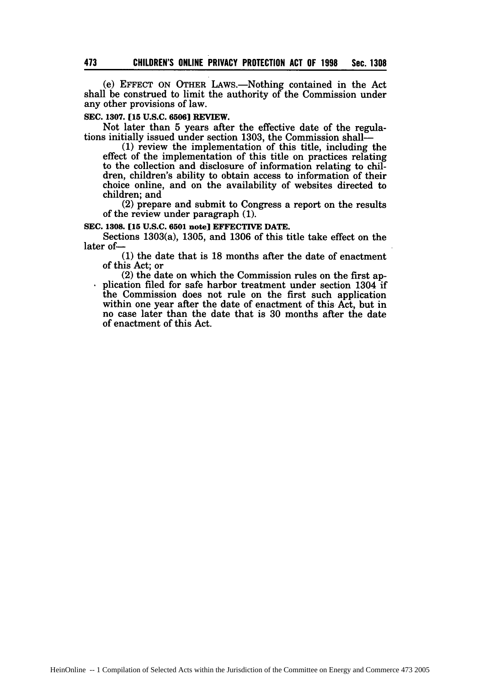(e) EFFECT ON OTHER LAws.-Nothing contained in the Act shall be construed to limit the authority of the Commission under any other provisions of law.

# **SEC. 1307. [15 U.S.C. 6506] REVIEW.**

Not later than **5** years after the effective date of the regulations initially issued under section **1303,** the Commission shall-

**(1)** review the implementation of this title, including the effect of the implementation of this title on practices relating to the collection and disclosure of information relating to children, children's ability to obtain access to information of their choice online, and on the availability of websites directed to children; and

(2) prepare and submit to Congress a report on the results of the review under paragraph (1).

**SEC. 1308. [15 U.S.C. 6501 note] EFFECTIVE DATE.**

Sections 1303(a), **1305,** and **1306** of this title take effect on the later of-

**(1)** the date that is **18** months after the date of enactment of this Act; or<br>(2) the date on which the Commission rules on the first ap-

plication filed for safe harbor treatment under section 1304 if the Commission does not rule on the first such application within one year after the date of enactment of this Act, but in no case later than the date that is 30 months after the date of enactment of this Act.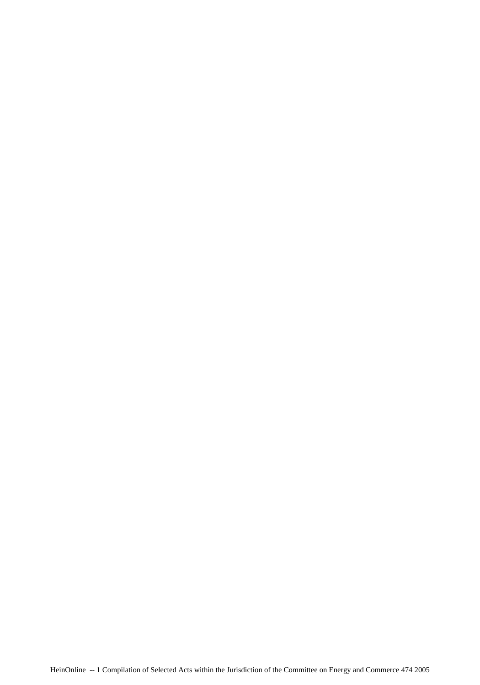HeinOnline -- 1 Compilation of Selected Acts within the Jurisdiction of the Committee on Energy and Commerce 474 2005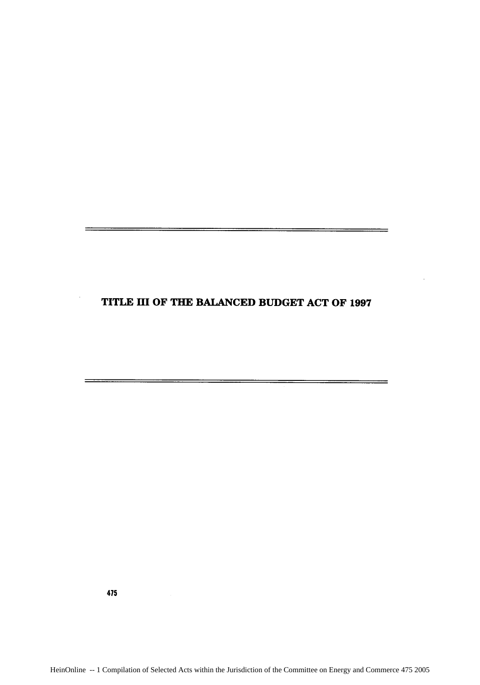# TITLE III OF THE **BALANCED BUDGET ACT** OF **1997**

475